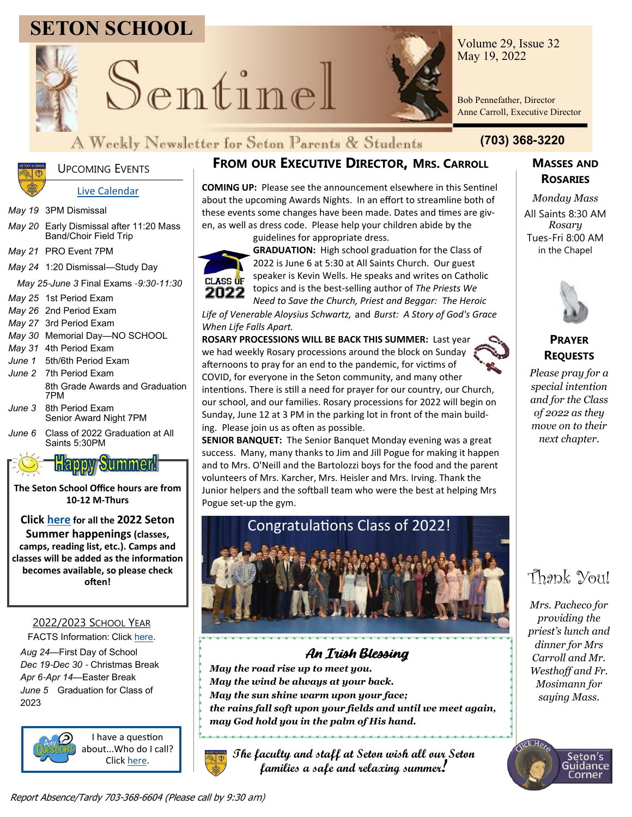# **SETON SCHOOL**



Sentinel



Volume 29, Issue 32 May 19, 2022

Bob Pennefather, Director Anne Carroll, Executive Director

### A Weekly Newsletter for Seton Parents & Students **(703) 368-3220**



### UPCOMING EVENTS

### [Live Calendar](https://teamup.com/ksm2zqy9v5ak6qjg7t)

*May 19* 3PM Dismissal

- *May 20* Early Dismissal after 11:20 Mass Band/Choir Field Trip
- *May 21* PRO Event 7PM
- *May 24* 1:20 Dismissal—Study Day

*May 25*-*June 3* Final Exams -*9:30*-*11:30*

*May 25* 1st Period Exam

*May 26* 2nd Period Exam

- *May 27* 3rd Period Exam
- *May 30* Memorial Day—NO SCHOOL
- *May 31* 4th Period Exam
- *June 1* 5th/6th Period Exam
- *June 2* 7th Period Exam 8th Grade Awards and Graduation 7PM
- *June 3* 8th Period Exam Senior Award Night 7PM
- *June 6* Class of 2022 Graduation at All Saints 5:30PM



**The Seton School Office hours are from 10-12 M-Thurs**

### **Click [here](https://setonschool.net/seton-summer-2022/) for all the 2022 Seton Summer happenings (classes, camps, reading list, etc.). Camps and classes will be added as the information becomes available, so please check often!**

### 2022/2023 SCHOOL YEAR

FACTS Information: Click [here.](https://setonschool.net/wp-content/uploads/2022/04/Seton-Tuition-Options-2022-2023.pdf) *Aug 24*—First Day of School *Dec 19*-*Dec 30* - Christmas Break *Apr 6*-*Apr 14*—Easter Break *June 5* Graduation for Class of 2023



I have a question about...Who do I call? Click [here.](https://setonschool.net/wp-content/uploads/2021/11/Contact-List-for-Questions.pdf)

### **FROM OUR EXECUTIVE DIRECTOR, MRS. CARROLL MASSES AND**

**COMING UP:** Please see the announcement elsewhere in this Sentinel about the upcoming Awards Nights. In an effort to streamline both of these events some changes have been made. Dates and times are given, as well as dress code. Please help your children abide by the

guidelines for appropriate dress.



**GRADUATION:** High school graduation for the Class of 2022 is June 6 at 5:30 at All Saints Church. Our guest speaker is Kevin Wells. He speaks and writes on Catholic topics and is the best-selling author of *The Priests We Need to Save the Church, Priest and Beggar: The Heroic* 

*Life of Venerable Aloysius Schwartz,* and *Burst: A Story of God's Grace When Life Falls Apart.*

**ROSARY PROCESSIONS WILL BE BACK THIS SUMMER:** Last year we had weekly Rosary processions around the block on Sunday afternoons to pray for an end to the pandemic, for victims of COVID, for everyone in the Seton community, and many other intentions. There is still a need for prayer for our country, our Church, our school, and our families. Rosary processions for 2022 will begin on Sunday, June 12 at 3 PM in the parking lot in front of the main building. Please join us as often as possible.

**SENIOR BANQUET:** The Senior Banquet Monday evening was a great success. Many, many thanks to Jim and Jill Pogue for making it happen and to Mrs. O'Neill and the Bartolozzi boys for the food and the parent volunteers of Mrs. Karcher, Mrs. Heisler and Mrs. Irving. Thank the Junior helpers and the softball team who were the best at helping Mrs Pogue set-up the gym.



### An Irish Blessing

*May the road rise up to meet you. May the wind be always at your back. May the sun shine warm upon your face; the rains fall soft upon your fields and until we meet again, may God hold you in the palm of His hand.*

**The faculty and staff at Seton wish all our Seton families a safe and relaxing summer!** 

# **ROSARIES**

*Monday Mass* All Saints 8:30 AM *Rosary* Tues-Fri 8:00 AM in the Chapel



### **PRAYER REQUESTS**

*Please pray for a special intention and for the Class of 2022 as they move on to their next chapter.*

## Thank You!

*Mrs. Pacheco for providing the priest's lunch and dinner for Mrs Carroll and Mr. Westhoff and Fr. Mosimann for saying Mass.*